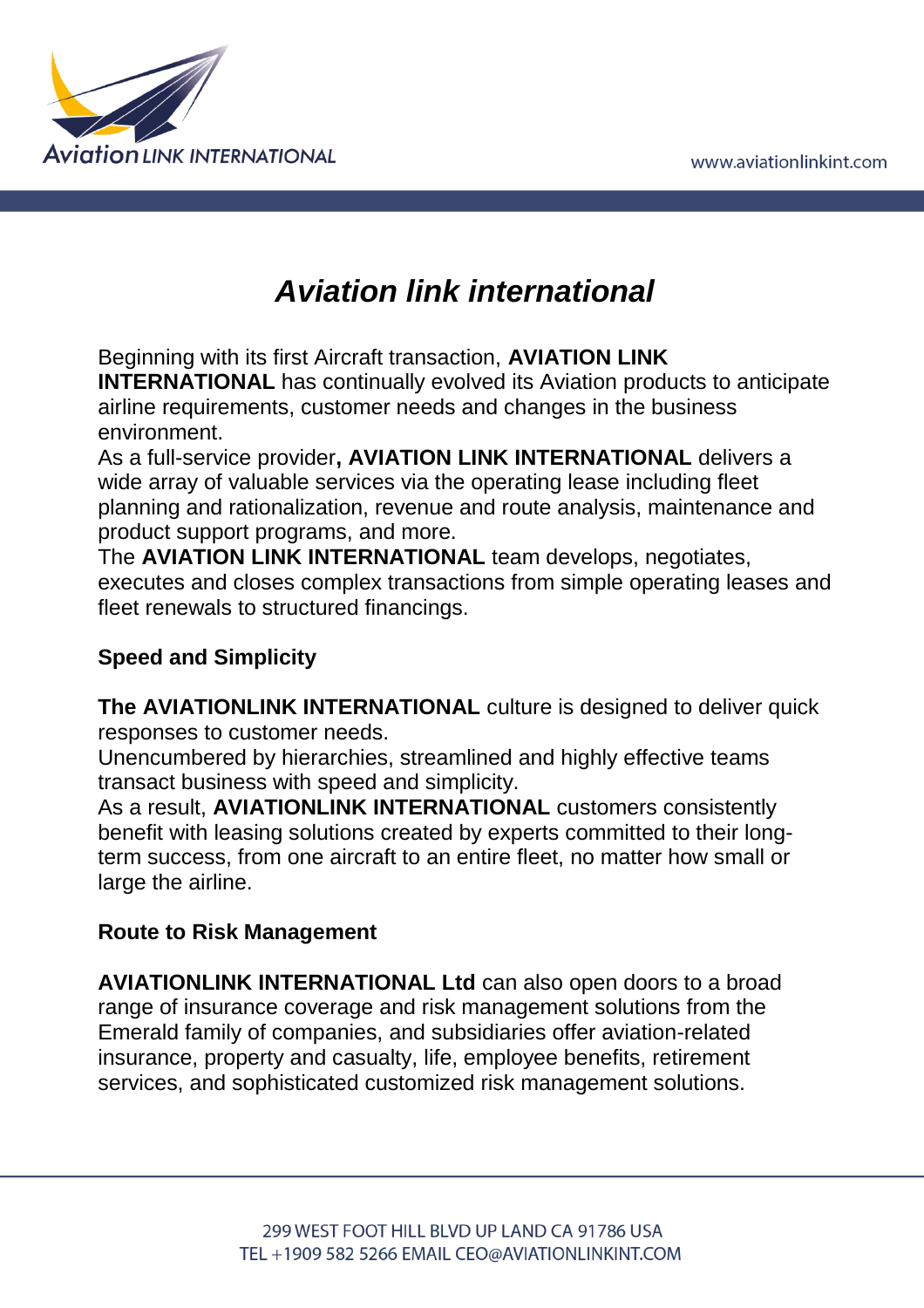

# *Aviation link international*

Beginning with its first Aircraft transaction, **AVIATION LINK** 

**INTERNATIONAL** has continually evolved its Aviation products to anticipate airline requirements, customer needs and changes in the business environment.

As a full-service provider**, AVIATION LINK INTERNATIONAL** delivers a wide array of valuable services via the operating lease including fleet planning and rationalization, revenue and route analysis, maintenance and product support programs, and more.

The **AVIATION LINK INTERNATIONAL** team develops, negotiates, executes and closes complex transactions from simple operating leases and fleet renewals to structured financings.

## **Speed and Simplicity**

**The AVIATIONLINK INTERNATIONAL** culture is designed to deliver quick responses to customer needs.

Unencumbered by hierarchies, streamlined and highly effective teams transact business with speed and simplicity.

As a result, **AVIATIONLINK INTERNATIONAL** customers consistently benefit with leasing solutions created by experts committed to their longterm success, from one aircraft to an entire fleet, no matter how small or large the airline.

## **Route to Risk Management**

**AVIATIONLINK INTERNATIONAL Ltd** can also open doors to a broad range of insurance coverage and risk management solutions from the Emerald family of companies, and subsidiaries offer aviation-related insurance, property and casualty, life, employee benefits, retirement services, and sophisticated customized risk management solutions.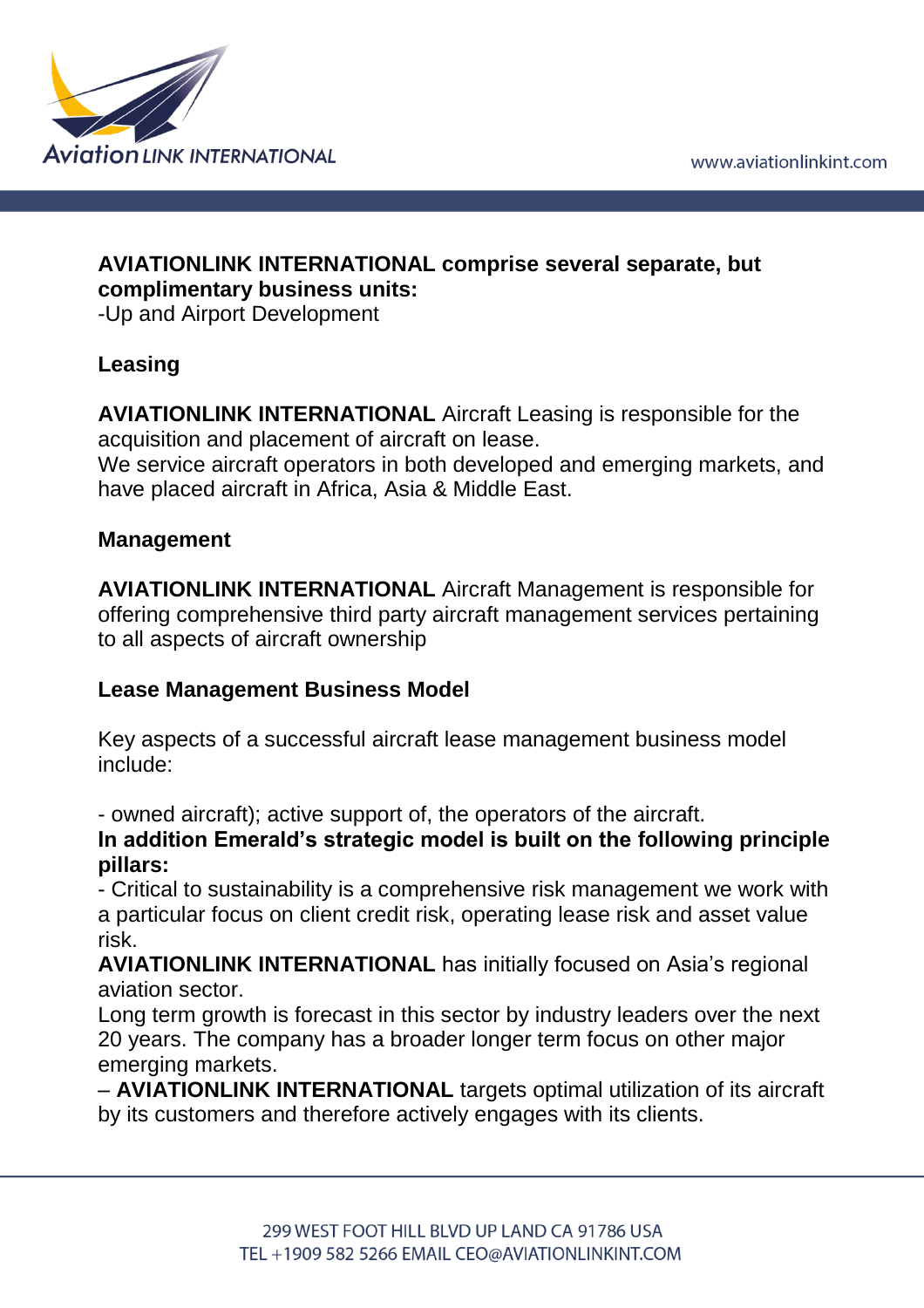

#### **AVIATIONLINK INTERNATIONAL comprise several separate, but complimentary business units:**

-Up and Airport Development

#### **Leasing**

**AVIATIONLINK INTERNATIONAL** Aircraft Leasing is responsible for the acquisition and placement of aircraft on lease.

We service aircraft operators in both developed and emerging markets, and have placed aircraft in Africa, Asia & Middle East.

#### **Management**

**AVIATIONLINK INTERNATIONAL** Aircraft Management is responsible for offering comprehensive third party aircraft management services pertaining to all aspects of aircraft ownership

## **Lease Management Business Model**

Key aspects of a successful aircraft lease management business model include:

- owned aircraft); active support of, the operators of the aircraft.

**In addition Emerald's strategic model is built on the following principle pillars:** 

- Critical to sustainability is a comprehensive risk management we work with a particular focus on client credit risk, operating lease risk and asset value risk.

**AVIATIONLINK INTERNATIONAL** has initially focused on Asia's regional aviation sector.

Long term growth is forecast in this sector by industry leaders over the next 20 years. The company has a broader longer term focus on other major emerging markets.

– **AVIATIONLINK INTERNATIONAL** targets optimal utilization of its aircraft by its customers and therefore actively engages with its clients.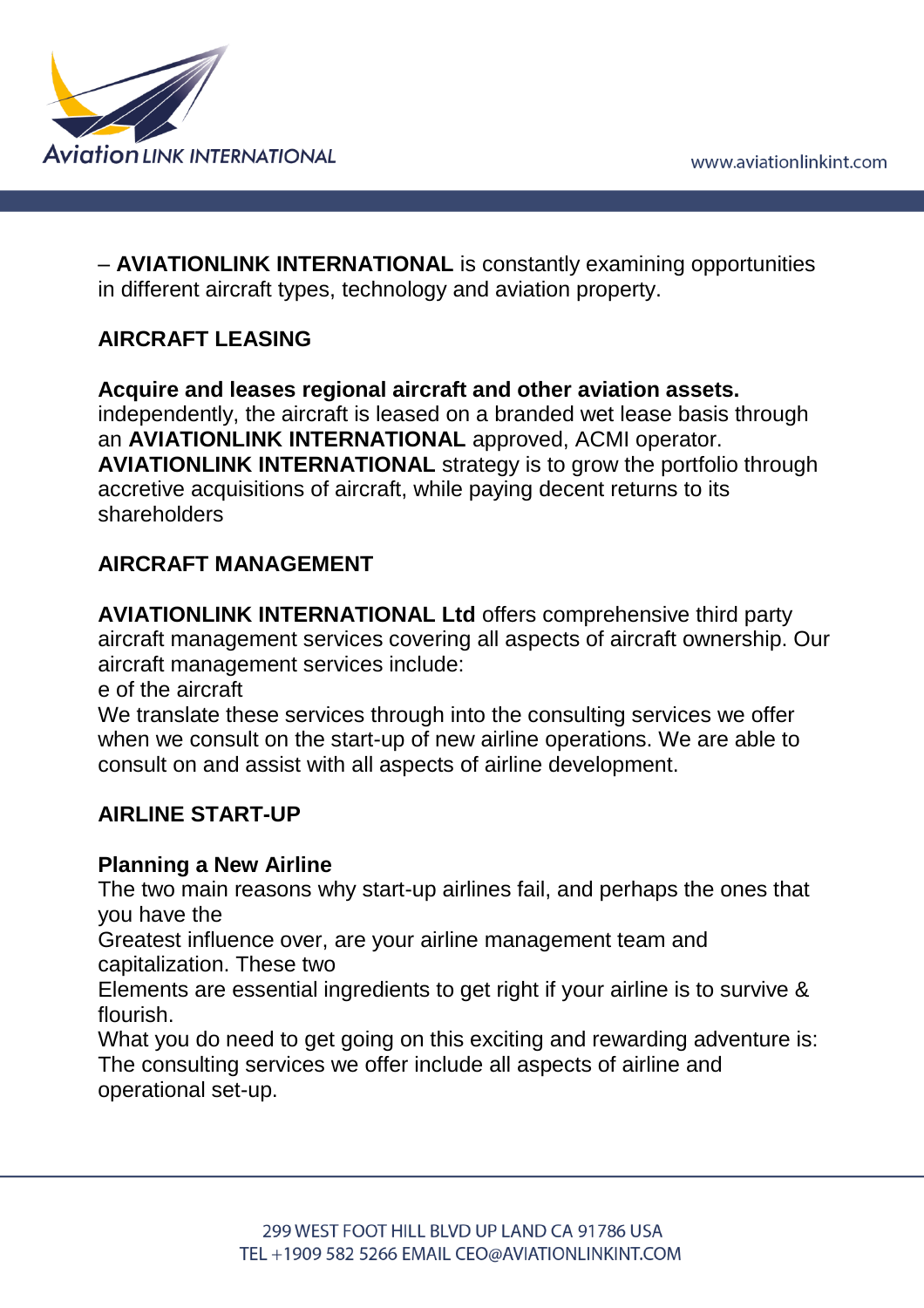

– **AVIATIONLINK INTERNATIONAL** is constantly examining opportunities in different aircraft types, technology and aviation property.

# **AIRCRAFT LEASING**

**Acquire and leases regional aircraft and other aviation assets.** independently, the aircraft is leased on a branded wet lease basis through an **AVIATIONLINK INTERNATIONAL** approved, ACMI operator. **AVIATIONLINK INTERNATIONAL** strategy is to grow the portfolio through accretive acquisitions of aircraft, while paying decent returns to its shareholders

## **AIRCRAFT MANAGEMENT**

**AVIATIONLINK INTERNATIONAL Ltd** offers comprehensive third party aircraft management services covering all aspects of aircraft ownership. Our aircraft management services include:

e of the aircraft

We translate these services through into the consulting services we offer when we consult on the start-up of new airline operations. We are able to consult on and assist with all aspects of airline development.

## **AIRLINE START-UP**

#### **Planning a New Airline**

The two main reasons why start-up airlines fail, and perhaps the ones that you have the

Greatest influence over, are your airline management team and capitalization. These two

Elements are essential ingredients to get right if your airline is to survive & flourish.

What you do need to get going on this exciting and rewarding adventure is: The consulting services we offer include all aspects of airline and operational set-up.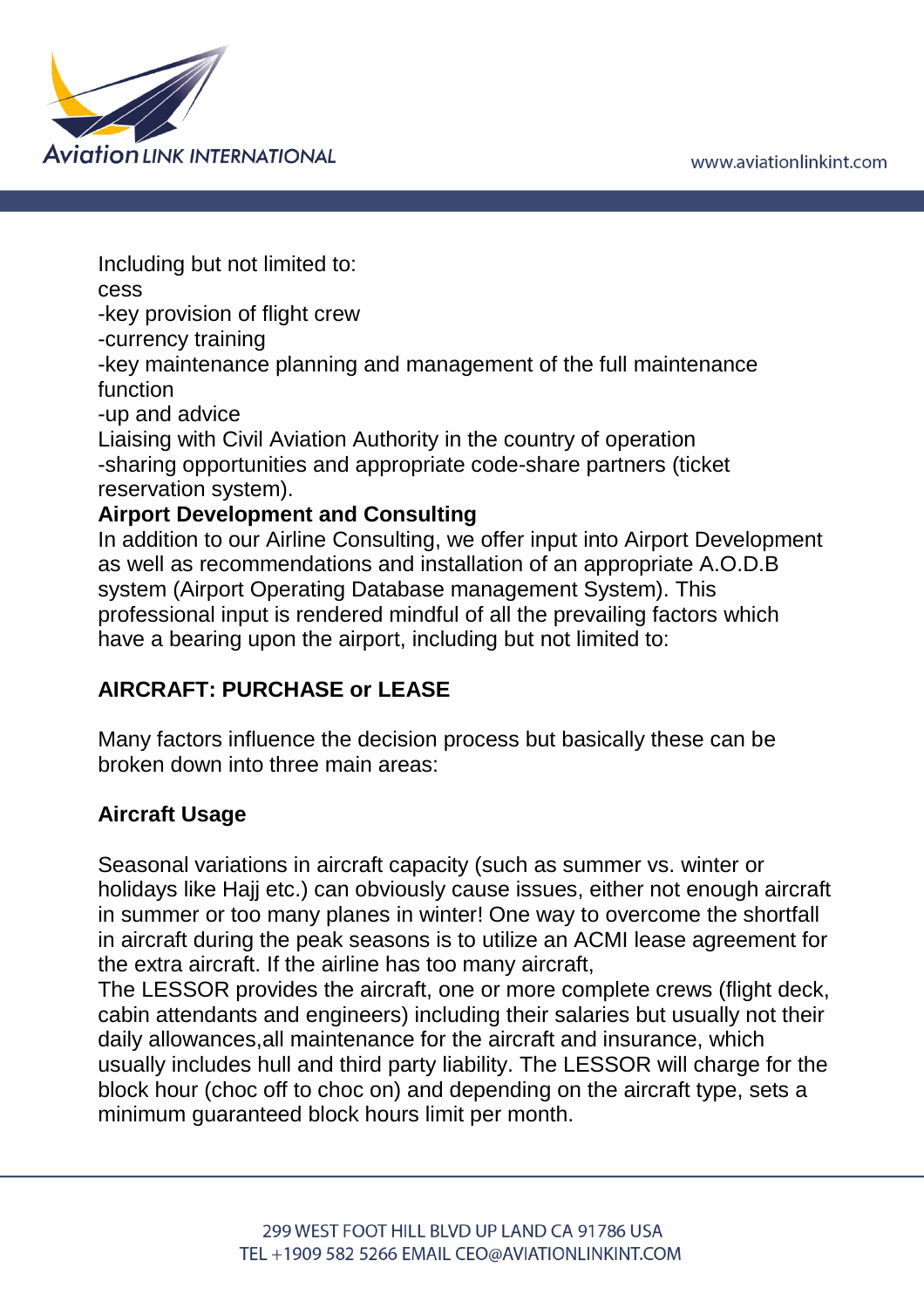

Including but not limited to: cess -key provision of flight crew -currency training -key maintenance planning and management of the full maintenance function -up and advice Liaising with Civil Aviation Authority in the country of operation -sharing opportunities and appropriate code-share partners (ticket reservation system). **Airport Development and Consulting**  In addition to our Airline Consulting, we offer input into Airport Development

as well as recommendations and installation of an appropriate A.O.D.B system (Airport Operating Database management System). This professional input is rendered mindful of all the prevailing factors which have a bearing upon the airport, including but not limited to:

## **AIRCRAFT: PURCHASE or LEASE**

Many factors influence the decision process but basically these can be broken down into three main areas:

#### **Aircraft Usage**

Seasonal variations in aircraft capacity (such as summer vs. winter or holidays like Hajj etc.) can obviously cause issues, either not enough aircraft in summer or too many planes in winter! One way to overcome the shortfall in aircraft during the peak seasons is to utilize an ACMI lease agreement for the extra aircraft. If the airline has too many aircraft,

The LESSOR provides the aircraft, one or more complete crews (flight deck, cabin attendants and engineers) including their salaries but usually not their daily allowances,all maintenance for the aircraft and insurance, which usually includes hull and third party liability. The LESSOR will charge for the block hour (choc off to choc on) and depending on the aircraft type, sets a minimum guaranteed block hours limit per month.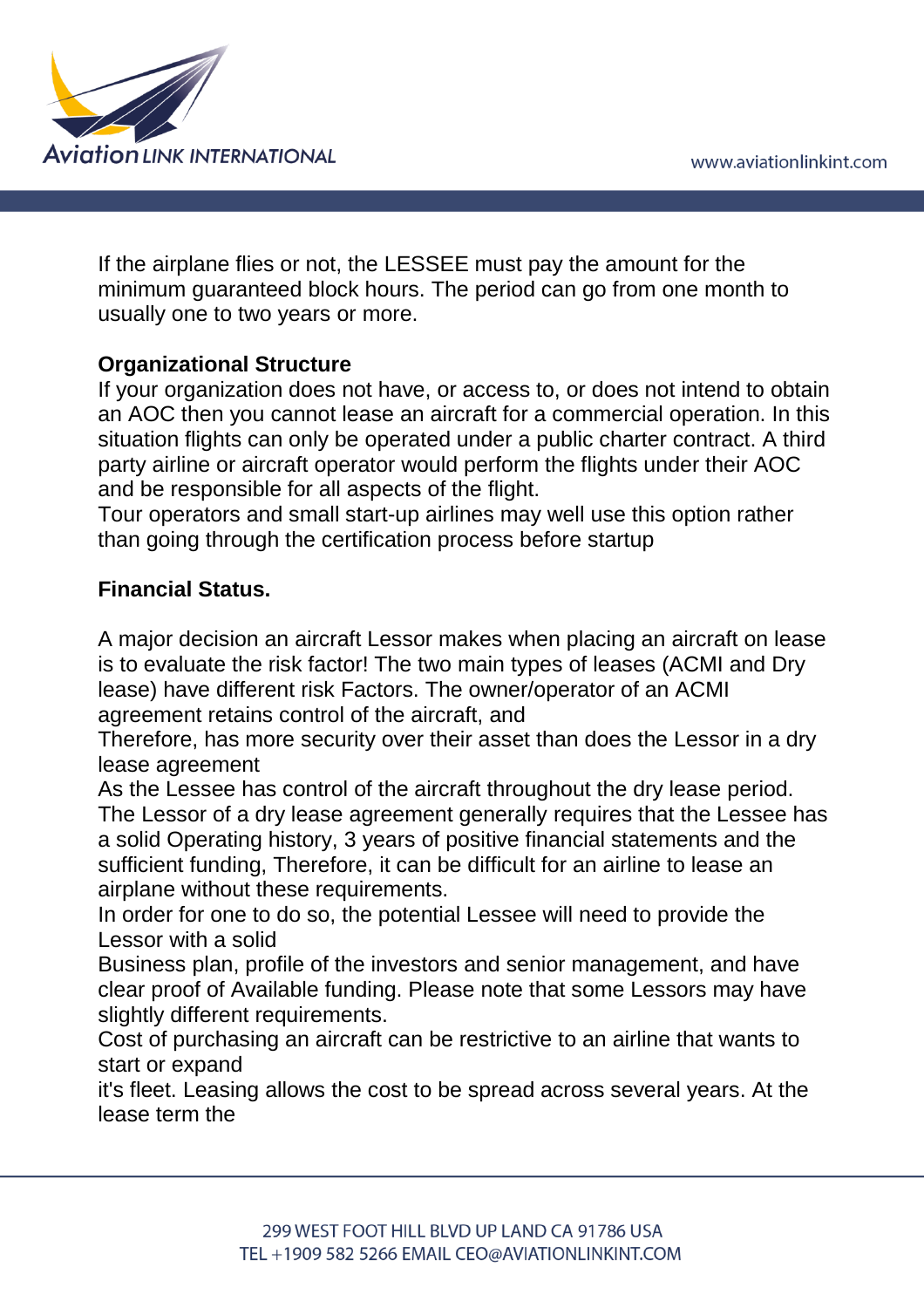

If the airplane flies or not, the LESSEE must pay the amount for the minimum guaranteed block hours. The period can go from one month to usually one to two years or more.

#### **Organizational Structure**

If your organization does not have, or access to, or does not intend to obtain an AOC then you cannot lease an aircraft for a commercial operation. In this situation flights can only be operated under a public charter contract. A third party airline or aircraft operator would perform the flights under their AOC and be responsible for all aspects of the flight.

Tour operators and small start-up airlines may well use this option rather than going through the certification process before startup

#### **Financial Status.**

A major decision an aircraft Lessor makes when placing an aircraft on lease is to evaluate the risk factor! The two main types of leases (ACMI and Dry lease) have different risk Factors. The owner/operator of an ACMI agreement retains control of the aircraft, and

Therefore, has more security over their asset than does the Lessor in a dry lease agreement

As the Lessee has control of the aircraft throughout the dry lease period. The Lessor of a dry lease agreement generally requires that the Lessee has a solid Operating history, 3 years of positive financial statements and the sufficient funding, Therefore, it can be difficult for an airline to lease an airplane without these requirements.

In order for one to do so, the potential Lessee will need to provide the Lessor with a solid

Business plan, profile of the investors and senior management, and have clear proof of Available funding. Please note that some Lessors may have slightly different requirements.

Cost of purchasing an aircraft can be restrictive to an airline that wants to start or expand

it's fleet. Leasing allows the cost to be spread across several years. At the lease term the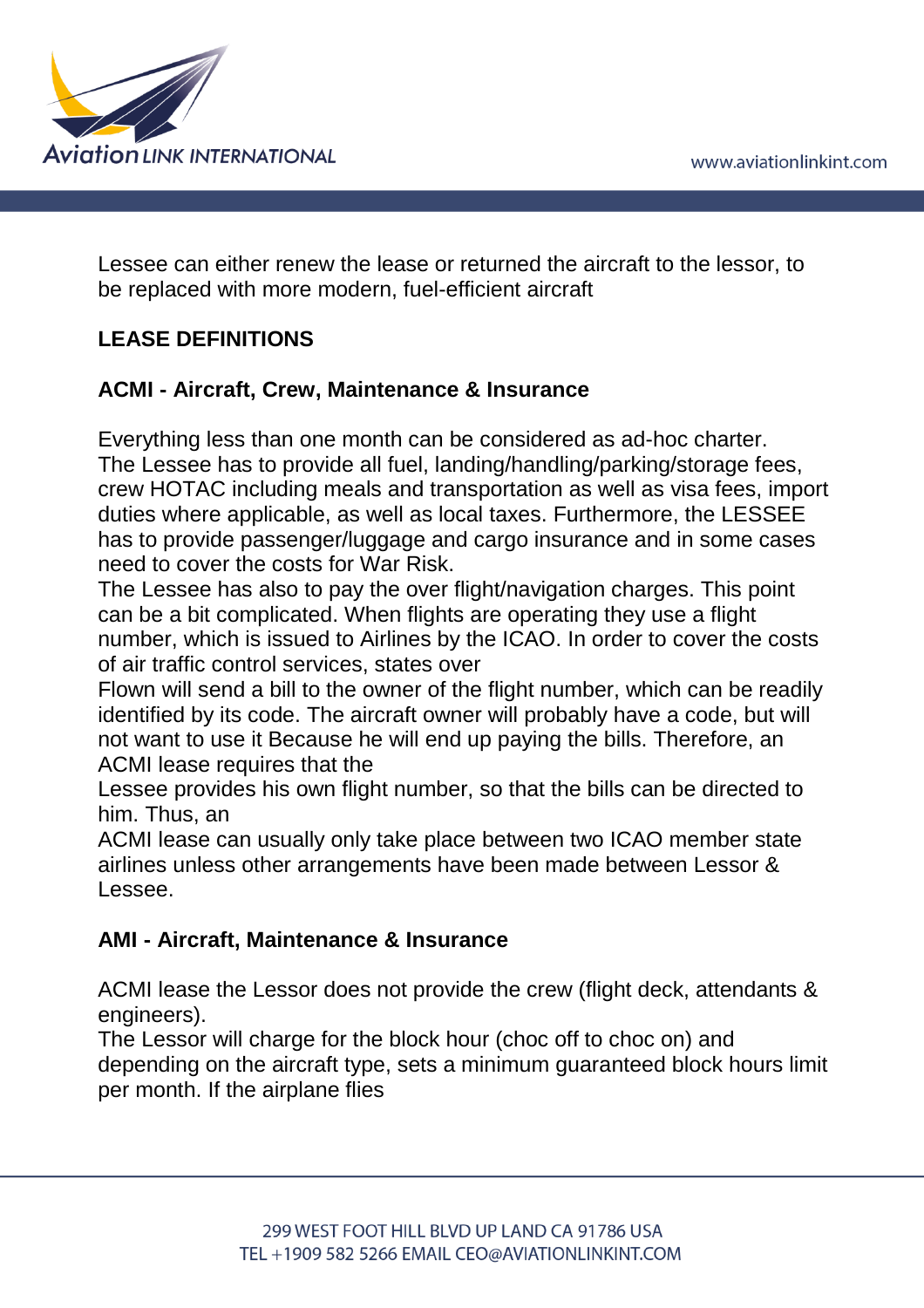

Lessee can either renew the lease or returned the aircraft to the lessor, to be replaced with more modern, fuel-efficient aircraft

# **LEASE DEFINITIONS**

#### **ACMI - Aircraft, Crew, Maintenance & Insurance**

Everything less than one month can be considered as ad-hoc charter. The Lessee has to provide all fuel, landing/handling/parking/storage fees, crew HOTAC including meals and transportation as well as visa fees, import duties where applicable, as well as local taxes. Furthermore, the LESSEE has to provide passenger/luggage and cargo insurance and in some cases need to cover the costs for War Risk.

The Lessee has also to pay the over flight/navigation charges. This point can be a bit complicated. When flights are operating they use a flight number, which is issued to Airlines by the ICAO. In order to cover the costs of air traffic control services, states over

Flown will send a bill to the owner of the flight number, which can be readily identified by its code. The aircraft owner will probably have a code, but will not want to use it Because he will end up paying the bills. Therefore, an ACMI lease requires that the

Lessee provides his own flight number, so that the bills can be directed to him. Thus, an

ACMI lease can usually only take place between two ICAO member state airlines unless other arrangements have been made between Lessor & Lessee.

#### **AMI - Aircraft, Maintenance & Insurance**

ACMI lease the Lessor does not provide the crew (flight deck, attendants & engineers).

The Lessor will charge for the block hour (choc off to choc on) and depending on the aircraft type, sets a minimum guaranteed block hours limit per month. If the airplane flies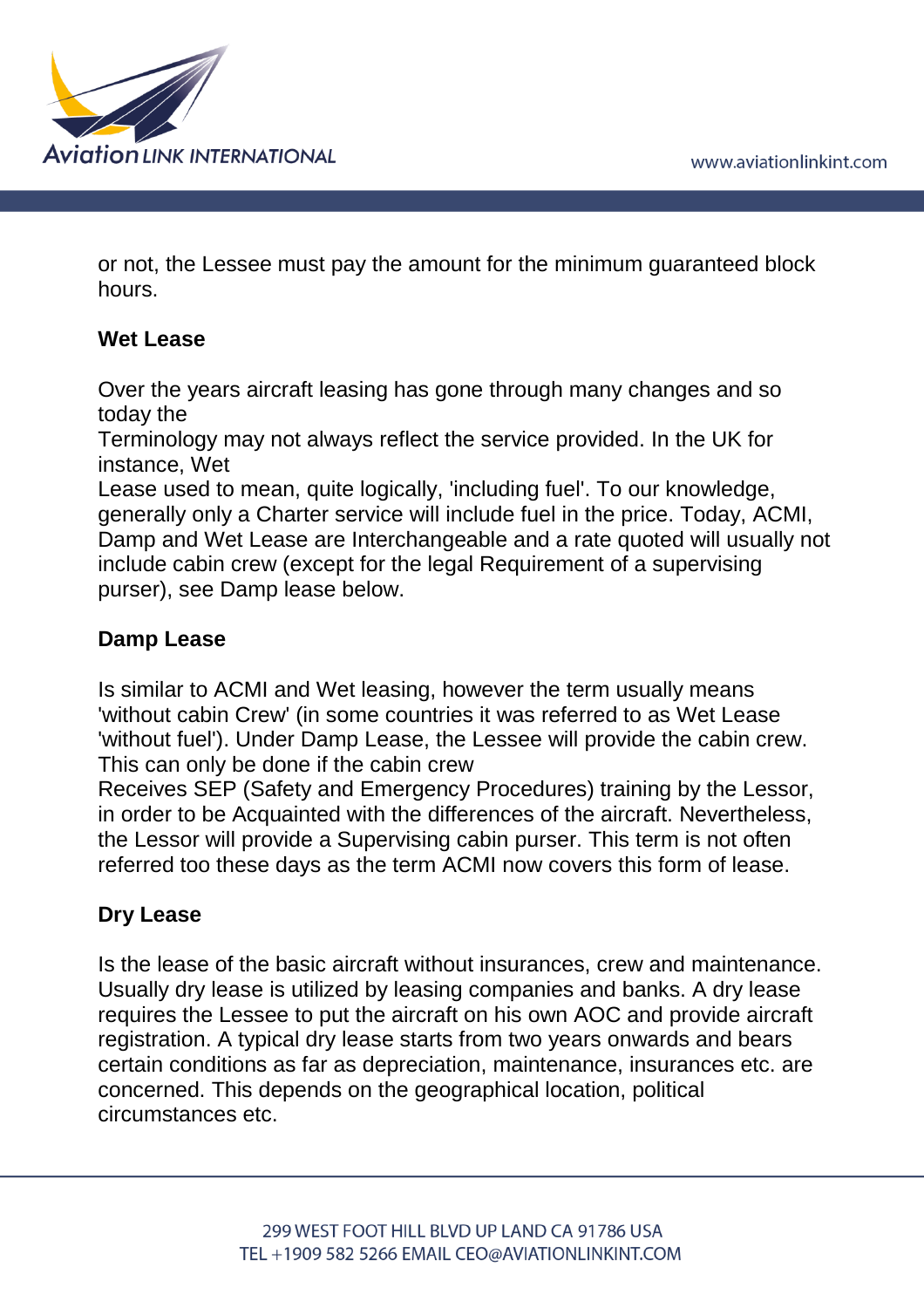

or not, the Lessee must pay the amount for the minimum guaranteed block hours.

#### **Wet Lease**

Over the years aircraft leasing has gone through many changes and so today the

Terminology may not always reflect the service provided. In the UK for instance, Wet

Lease used to mean, quite logically, 'including fuel'. To our knowledge, generally only a Charter service will include fuel in the price. Today, ACMI, Damp and Wet Lease are Interchangeable and a rate quoted will usually not include cabin crew (except for the legal Requirement of a supervising purser), see Damp lease below.

## **Damp Lease**

Is similar to ACMI and Wet leasing, however the term usually means 'without cabin Crew' (in some countries it was referred to as Wet Lease 'without fuel'). Under Damp Lease, the Lessee will provide the cabin crew. This can only be done if the cabin crew

Receives SEP (Safety and Emergency Procedures) training by the Lessor, in order to be Acquainted with the differences of the aircraft. Nevertheless, the Lessor will provide a Supervising cabin purser. This term is not often referred too these days as the term ACMI now covers this form of lease.

## **Dry Lease**

Is the lease of the basic aircraft without insurances, crew and maintenance. Usually dry lease is utilized by leasing companies and banks. A dry lease requires the Lessee to put the aircraft on his own AOC and provide aircraft registration. A typical dry lease starts from two years onwards and bears certain conditions as far as depreciation, maintenance, insurances etc. are concerned. This depends on the geographical location, political circumstances etc.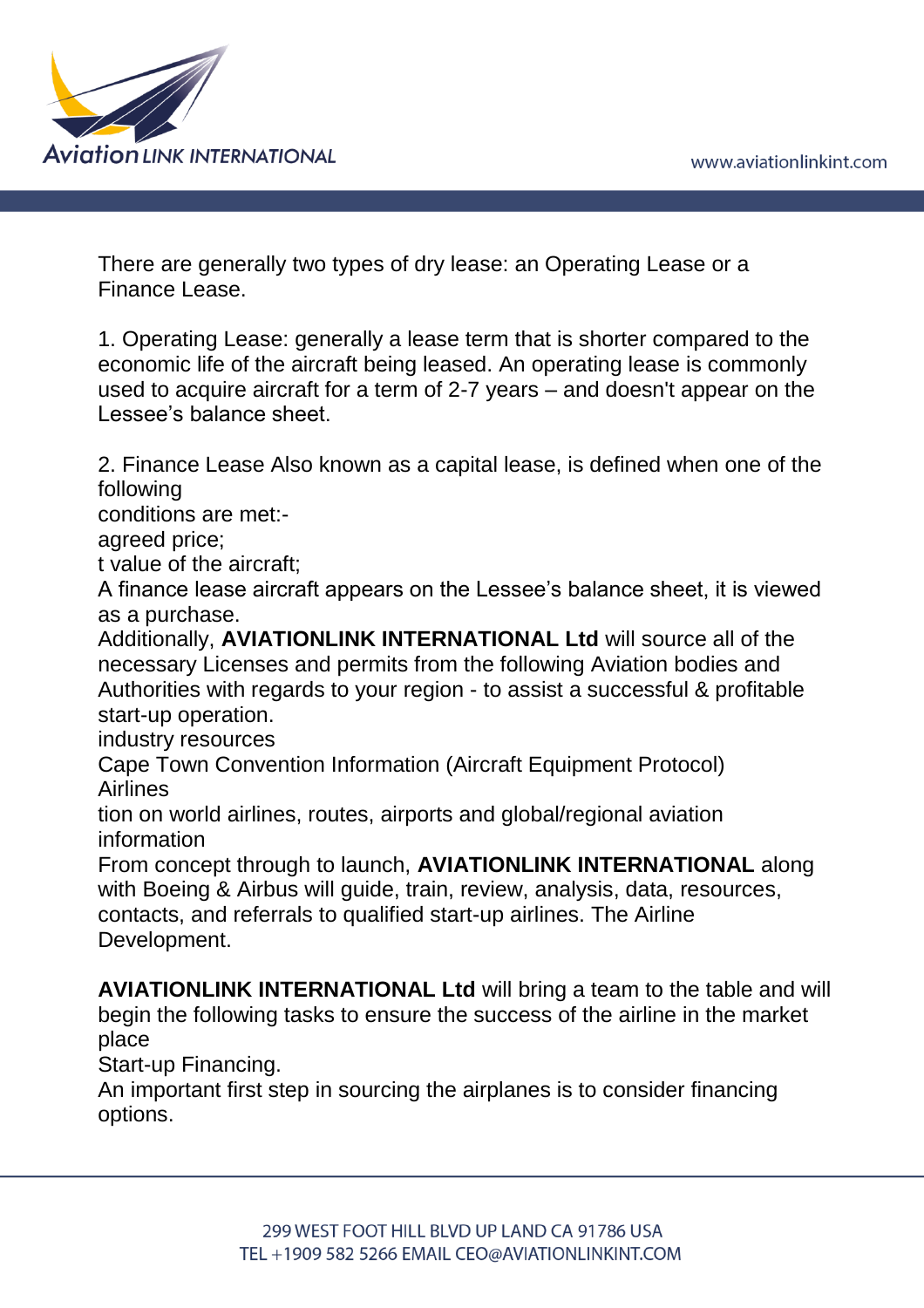

There are generally two types of dry lease: an Operating Lease or a Finance Lease.

1. Operating Lease: generally a lease term that is shorter compared to the economic life of the aircraft being leased. An operating lease is commonly used to acquire aircraft for a term of 2-7 years – and doesn't appear on the Lessee's balance sheet.

2. Finance Lease Also known as a capital lease, is defined when one of the following

conditions are met:-

agreed price;

t value of the aircraft;

A finance lease aircraft appears on the Lessee's balance sheet, it is viewed as a purchase.

Additionally, **AVIATIONLINK INTERNATIONAL Ltd** will source all of the necessary Licenses and permits from the following Aviation bodies and Authorities with regards to your region - to assist a successful & profitable start-up operation.

industry resources

Cape Town Convention Information (Aircraft Equipment Protocol) Airlines

tion on world airlines, routes, airports and global/regional aviation information

From concept through to launch, **AVIATIONLINK INTERNATIONAL** along with Boeing & Airbus will guide, train, review, analysis, data, resources, contacts, and referrals to qualified start-up airlines. The Airline Development.

**AVIATIONLINK INTERNATIONAL Ltd** will bring a team to the table and will begin the following tasks to ensure the success of the airline in the market place

Start-up Financing.

An important first step in sourcing the airplanes is to consider financing options.